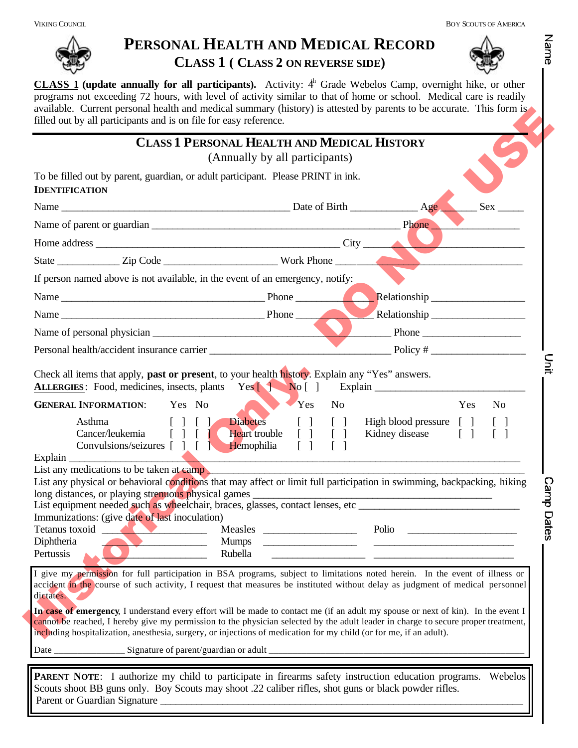## **PERSONAL HEALTH AND MEDICAL RECORD CLASS 1 ( CLASS 2 ON REVERSE SIDE)**



Name

**CLASS 1 (update annually for all participants).** Activity:  $4<sup>h</sup>$  Grade Webelos Camp, overnight hike, or other programs not exceeding 72 hours, with level of activity similar to that of home or school. Medical care is readily available. Current personal health and medical summary (history) is attested by parents to be accurate. This form is filled out by all participants and is on file for easy reference.

|                                                                                                                                                                                                                                                                                                                                                                                                                                                                                                                                                                                                                                                                             | <b>CLASS 1 PERSONAL HEALTH AND MEDICAL HISTORY</b><br>(Annually by all participants)            |                        |                                               |                   |
|-----------------------------------------------------------------------------------------------------------------------------------------------------------------------------------------------------------------------------------------------------------------------------------------------------------------------------------------------------------------------------------------------------------------------------------------------------------------------------------------------------------------------------------------------------------------------------------------------------------------------------------------------------------------------------|-------------------------------------------------------------------------------------------------|------------------------|-----------------------------------------------|-------------------|
| To be filled out by parent, guardian, or adult participant. Please PRINT in ink.<br><b>IDENTIFICATION</b>                                                                                                                                                                                                                                                                                                                                                                                                                                                                                                                                                                   |                                                                                                 |                        |                                               |                   |
|                                                                                                                                                                                                                                                                                                                                                                                                                                                                                                                                                                                                                                                                             |                                                                                                 |                        |                                               | Sex               |
|                                                                                                                                                                                                                                                                                                                                                                                                                                                                                                                                                                                                                                                                             |                                                                                                 |                        |                                               |                   |
|                                                                                                                                                                                                                                                                                                                                                                                                                                                                                                                                                                                                                                                                             |                                                                                                 |                        |                                               |                   |
|                                                                                                                                                                                                                                                                                                                                                                                                                                                                                                                                                                                                                                                                             |                                                                                                 |                        |                                               |                   |
| If person named above is not available, in the event of an emergency, notify:                                                                                                                                                                                                                                                                                                                                                                                                                                                                                                                                                                                               |                                                                                                 |                        |                                               |                   |
|                                                                                                                                                                                                                                                                                                                                                                                                                                                                                                                                                                                                                                                                             |                                                                                                 |                        |                                               |                   |
| Name Phone Phone                                                                                                                                                                                                                                                                                                                                                                                                                                                                                                                                                                                                                                                            |                                                                                                 |                        | Relationship                                  |                   |
|                                                                                                                                                                                                                                                                                                                                                                                                                                                                                                                                                                                                                                                                             |                                                                                                 |                        |                                               |                   |
|                                                                                                                                                                                                                                                                                                                                                                                                                                                                                                                                                                                                                                                                             |                                                                                                 |                        |                                               |                   |
| Asthma<br>$\begin{array}{c} \hline \end{array}$<br>Cancer/leukemia                                                                                                                                                                                                                                                                                                                                                                                                                                                                                                                                                                                                          | Diabetes<br><b>Heart</b> trouble                                                                | $[ ] [ ]$<br>$[ ] [ ]$ | High blood pressure [ ]<br>Kidney disease [ ] | $\lceil$ $\rceil$ |
| Convulsions/seizures [ ] [ ] Hemophilia                                                                                                                                                                                                                                                                                                                                                                                                                                                                                                                                                                                                                                     | $\begin{bmatrix} 1 \end{bmatrix}$<br><u> 1989 - Johann Barn, amerikansk politiker (d. 1989)</u> | $\lceil$ $\rceil$      |                                               |                   |
|                                                                                                                                                                                                                                                                                                                                                                                                                                                                                                                                                                                                                                                                             |                                                                                                 |                        |                                               |                   |
| $\boxed{\text{Explain} \_\_\_\_\_}$<br>List any medications to be taken at camp<br>List any physical or behavioral conditions that may affect or limit full participation in swimming, backpacking, hiking<br>Immunizations: (give date of last inoculation)<br>Tetanus toxoid Measles<br>Diphtheria<br>Pertussis                                                                                                                                                                                                                                                                                                                                                           | <b>Mumps</b><br>Rubella                                                                         |                        | Polio                                         |                   |
| I give my permission for full participation in BSA programs, subject to limitations noted herein. In the event of illness or<br>accident in the course of such activity, I request that measures be instituted without delay as judgment of medical personnel<br>dictates.<br>In case of emergency, I understand every effort will be made to contact me (if an adult my spouse or next of kin). In the event I<br>cannot be reached, I hereby give my permission to the physician selected by the adult leader in charge to secure proper treatment,<br>including hospitalization, anesthesia, surgery, or injections of medication for my child (or for me, if an adult). |                                                                                                 |                        |                                               |                   |